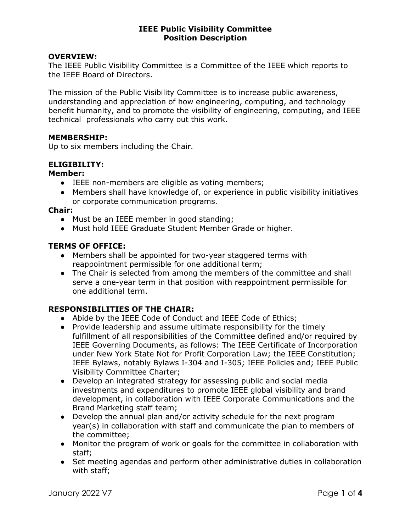### OVERVIEW:

The IEEE Public Visibility Committee is a Committee of the IEEE which reports to the IEEE Board of Directors.

The mission of the Public Visibility Committee is to increase public awareness, understanding and appreciation of how engineering, computing, and technology benefit humanity, and to promote the visibility of engineering, computing, and IEEE technical professionals who carry out this work.

#### MEMBERSHIP:

Up to six members including the Chair.

### ELIGIBILITY:

#### Member:

- IEEE non-members are eligible as voting members;
- Members shall have knowledge of, or experience in public visibility initiatives or corporate communication programs.

Chair:

- Must be an IEEE member in good standing;
- Must hold IEEE Graduate Student Member Grade or higher.

#### TERMS OF OFFICE:

- Members shall be appointed for two-year staggered terms with reappointment permissible for one additional term;
- The Chair is selected from among the members of the committee and shall serve a one-year term in that position with reappointment permissible for one additional term.

### RESPONSIBILITIES OF THE CHAIR:

- Abide by the IEEE Code of Conduct and IEEE Code of Ethics;
- Provide leadership and assume ultimate responsibility for the timely fulfillment of all responsibilities of the Committee defined and/or required by IEEE Governing Documents, as follows: The IEEE Certificate of Incorporation under New York State Not for Profit Corporation Law; the IEEE Constitution; IEEE Bylaws, notably Bylaws I-304 and I-305; IEEE Policies and; IEEE Public Visibility Committee Charter;
- Develop an integrated strategy for assessing public and social media investments and expenditures to promote IEEE global visibility and brand development, in collaboration with IEEE Corporate Communications and the Brand Marketing staff team;
- Develop the annual plan and/or activity schedule for the next program year(s) in collaboration with staff and communicate the plan to members of the committee;
- Monitor the program of work or goals for the committee in collaboration with staff;
- Set meeting agendas and perform other administrative duties in collaboration with staff;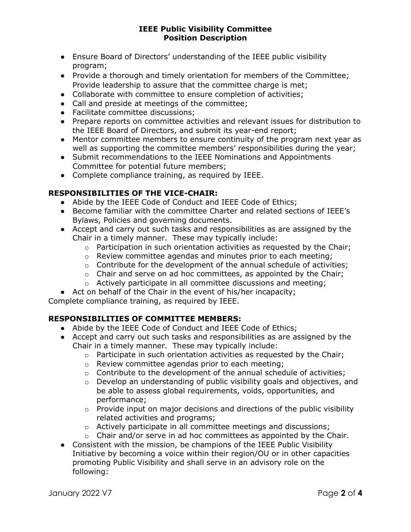- Ensure Board of Directors' understanding of the IEEE public visibility program;
- Provide a thorough and timely orientation for members of the Committee; Provide leadership to assure that the committee charge is met;
- Collaborate with committee to ensure completion of activities;
- Call and preside at meetings of the committee;
- Facilitate committee discussions;
- Prepare reports on committee activities and relevant issues for distribution to the IEEE Board of Directors, and submit its year-end report;
- Mentor committee members to ensure continuity of the program next year as well as supporting the committee members' responsibilities during the year;
- Submit recommendations to the IEEE Nominations and Appointments Committee for potential future members;
- Complete compliance training, as required by IEEE.

# RESPONSIBILITIES OF THE VICE-CHAIR:

- Abide by the IEEE Code of Conduct and IEEE Code of Ethics;
- Become familiar with the committee Charter and related sections of IEEE's Bylaws, Policies and governing documents.
- Accept and carry out such tasks and responsibilities as are assigned by the Chair in a timely manner. These may typically include:
	- $\circ$  Participation in such orientation activities as requested by the Chair;
	- o Review committee agendas and minutes prior to each meeting;
	- o Contribute for the development of the annual schedule of activities;
	- $\circ$  Chair and serve on ad hoc committees, as appointed by the Chair;
	- o Actively participate in all committee discussions and meeting;
- Act on behalf of the Chair in the event of his/her incapacity;

Complete compliance training, as required by IEEE.

# RESPONSIBILITIES OF COMMITTEE MEMBERS:

- Abide by the IEEE Code of Conduct and IEEE Code of Ethics;
- Accept and carry out such tasks and responsibilities as are assigned by the Chair in a timely manner. These may typically include:
	- o Participate in such orientation activities as requested by the Chair;
	- o Review committee agendas prior to each meeting;
	- o Contribute to the development of the annual schedule of activities;
	- $\circ$  Develop an understanding of public visibility goals and objectives, and be able to assess global requirements, voids, opportunities, and performance;
	- $\circ$  Provide input on major decisions and directions of the public visibility related activities and programs;
	- o Actively participate in all committee meetings and discussions;
	- $\circ$  Chair and/or serve in ad hoc committees as appointed by the Chair.
- Consistent with the mission, be champions of the IEEE Public Visibility Initiative by becoming a voice within their region/OU or in other capacities promoting Public Visibility and shall serve in an advisory role on the following: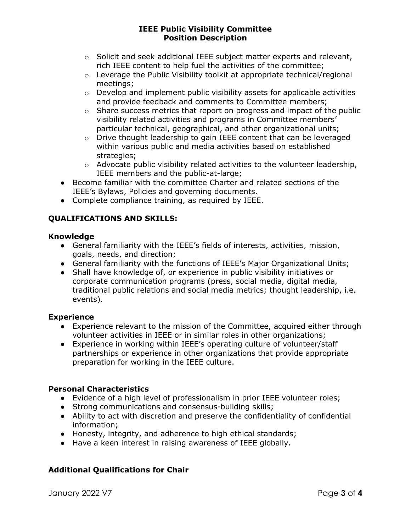- $\circ$  Solicit and seek additional IEEE subject matter experts and relevant, rich IEEE content to help fuel the activities of the committee;
- o Leverage the Public Visibility toolkit at appropriate technical/regional meetings;
- $\circ$  Develop and implement public visibility assets for applicable activities and provide feedback and comments to Committee members;
- o Share success metrics that report on progress and impact of the public visibility related activities and programs in Committee members' particular technical, geographical, and other organizational units;
- o Drive thought leadership to gain IEEE content that can be leveraged within various public and media activities based on established strategies;
- $\circ$  Advocate public visibility related activities to the volunteer leadership, IEEE members and the public-at-large;
- Become familiar with the committee Charter and related sections of the IEEE's Bylaws, Policies and governing documents.
- Complete compliance training, as required by IEEE.

# QUALIFICATIONS AND SKILLS:

## Knowledge

- General familiarity with the IEEE's fields of interests, activities, mission, goals, needs, and direction;
- General familiarity with the functions of IEEE's Major Organizational Units;
- Shall have knowledge of, or experience in public visibility initiatives or corporate communication programs (press, social media, digital media, traditional public relations and social media metrics; thought leadership, i.e. events).

## **Experience**

- Experience relevant to the mission of the Committee, acquired either through volunteer activities in IEEE or in similar roles in other organizations;
- Experience in working within IEEE's operating culture of volunteer/staff partnerships or experience in other organizations that provide appropriate preparation for working in the IEEE culture.

## Personal Characteristics

- Evidence of a high level of professionalism in prior IEEE volunteer roles;
- Strong communications and consensus-building skills;
- Ability to act with discretion and preserve the confidentiality of confidential information;
- Honesty, integrity, and adherence to high ethical standards;
- Have a keen interest in raising awareness of IEEE globally.

# Additional Qualifications for Chair

January 2022 V7 Page 3 of 4